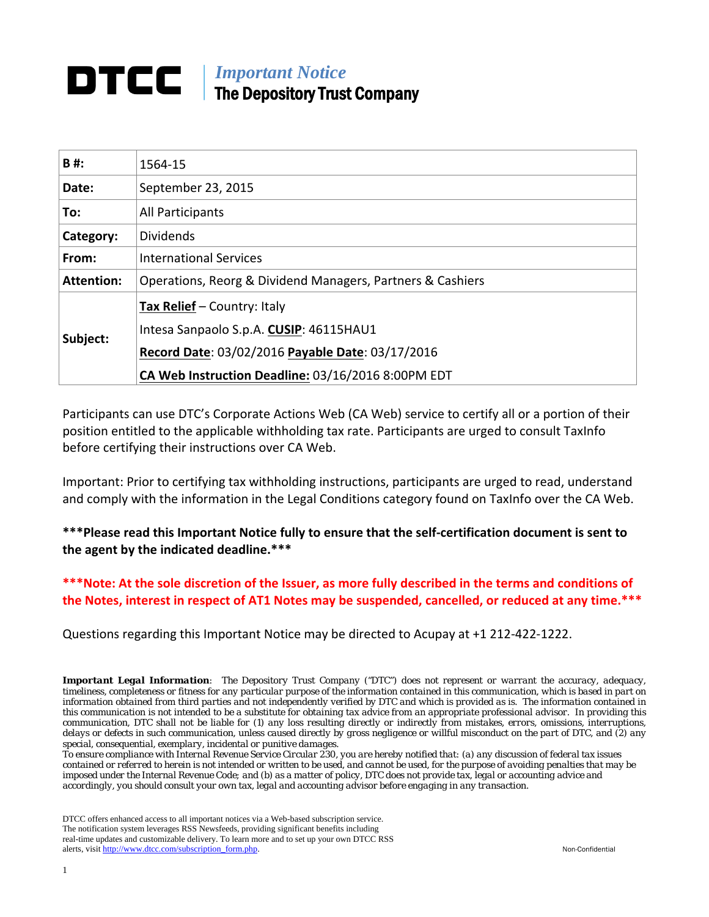## *Important Notice* The Depository Trust Company

| B#:               | 1564-15                                                    |  |
|-------------------|------------------------------------------------------------|--|
| Date:             | September 23, 2015                                         |  |
| To:               | All Participants                                           |  |
| Category:         | <b>Dividends</b>                                           |  |
| From:             | <b>International Services</b>                              |  |
| <b>Attention:</b> | Operations, Reorg & Dividend Managers, Partners & Cashiers |  |
|                   | <b>Tax Relief</b> – Country: Italy                         |  |
| Subject:          | Intesa Sanpaolo S.p.A. CUSIP: 46115HAU1                    |  |
|                   | Record Date: 03/02/2016 Payable Date: 03/17/2016           |  |
|                   | CA Web Instruction Deadline: 03/16/2016 8:00PM EDT         |  |

Participants can use DTC's Corporate Actions Web (CA Web) service to certify all or a portion of their position entitled to the applicable withholding tax rate. Participants are urged to consult TaxInfo before certifying their instructions over CA Web.

Important: Prior to certifying tax withholding instructions, participants are urged to read, understand and comply with the information in the Legal Conditions category found on TaxInfo over the CA Web.

**\*\*\*Please read this Important Notice fully to ensure that the self-certification document is sent to the agent by the indicated deadline.\*\*\***

**\*\*\*Note: At the sole discretion of the Issuer, as more fully described in the terms and conditions of the Notes, interest in respect of AT1 Notes may be suspended, cancelled, or reduced at any time.\*\*\***

Questions regarding this Important Notice may be directed to Acupay at +1 212-422-1222.

*Important Legal Information: The Depository Trust Company ("DTC") does not represent or warrant the accuracy, adequacy, timeliness, completeness or fitness for any particular purpose of the information contained in this communication, which is based in part on information obtained from third parties and not independently verified by DTC and which is provided as is. The information contained in this communication is not intended to be a substitute for obtaining tax advice from an appropriate professional advisor. In providing this communication, DTC shall not be liable for (1) any loss resulting directly or indirectly from mistakes, errors, omissions, interruptions, delays or defects in such communication, unless caused directly by gross negligence or willful misconduct on the part of DTC, and (2) any special, consequential, exemplary, incidental or punitive damages.*

*To ensure compliance with Internal Revenue Service Circular 230, you are hereby notified that: (a) any discussion of federal tax issues contained or referred to herein is not intended or written to be used, and cannot be used, for the purpose of avoiding penalties that may be imposed under the Internal Revenue Code; and (b) as a matter of policy, DTC does not provide tax, legal or accounting advice and accordingly, you should consult your own tax, legal and accounting advisor before engaging in any transaction.*

DTCC offers enhanced access to all important notices via a Web-based subscription service. The notification system leverages RSS Newsfeeds, providing significant benefits including real-time updates and customizable delivery. To learn more and to set up your own DTCC RSS alerts, visit [http://www.dtcc.com/subscription\\_form.php.](http://www.dtcc.com/subscription_form.php) Non-Confidential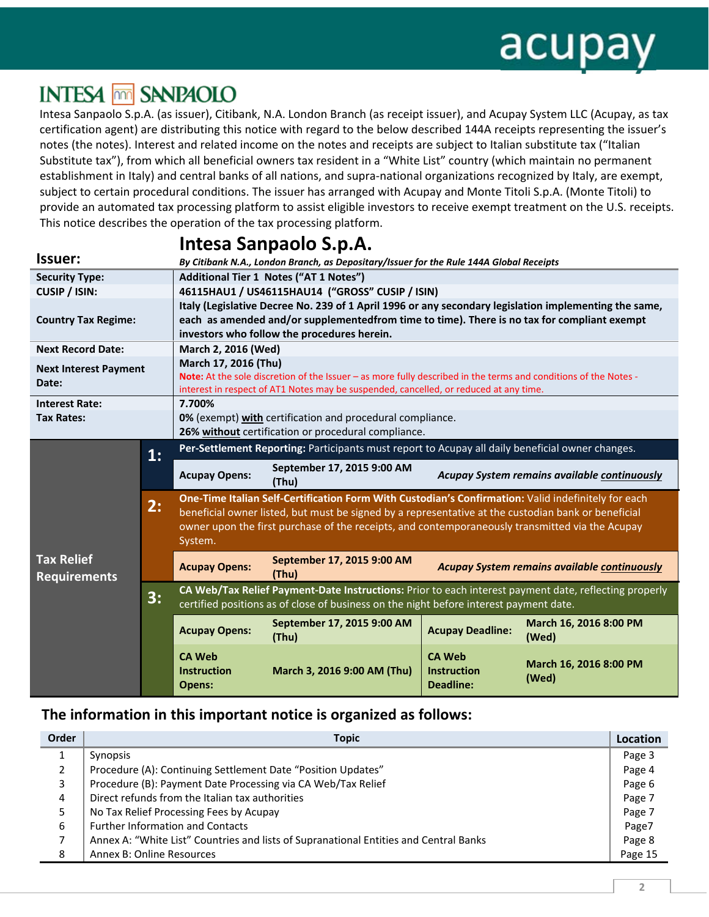# **INTESA MM SANPAOLO**

Intesa Sanpaolo S.p.A. (as issuer), Citibank, N.A. London Branch (as receipt issuer), and Acupay System LLC (Acupay, as tax certification agent) are distributing this notice with regard to the below described 144A receipts representing the issuer's notes (the notes). Interest and related income on the notes and receipts are subject to Italian substitute tax ("Italian Substitute tax"), from which all beneficial owners tax resident in a "White List" country (which maintain no permanent establishment in Italy) and central banks of all nations, and supra-national organizations recognized by Italy, are exempt, subject to certain procedural conditions. The issuer has arranged with Acupay and Monte Titoli S.p.A. (Monte Titoli) to provide an automated tax processing platform to assist eligible investors to receive exempt treatment on the U.S. receipts. This notice describes the operation of the tax processing platform.

|                                                                                                                                       |    |                                                                                                                                                                                                                                                     | intesa Sanpaolo S.p.A.                                                                                                                                                                                                                                                                                        |                                                         |                                              |
|---------------------------------------------------------------------------------------------------------------------------------------|----|-----------------------------------------------------------------------------------------------------------------------------------------------------------------------------------------------------------------------------------------------------|---------------------------------------------------------------------------------------------------------------------------------------------------------------------------------------------------------------------------------------------------------------------------------------------------------------|---------------------------------------------------------|----------------------------------------------|
| Issuer:                                                                                                                               |    | By Citibank N.A., London Branch, as Depositary/Issuer for the Rule 144A Global Receipts                                                                                                                                                             |                                                                                                                                                                                                                                                                                                               |                                                         |                                              |
| <b>Security Type:</b>                                                                                                                 |    | Additional Tier 1 Notes ("AT 1 Notes")                                                                                                                                                                                                              |                                                                                                                                                                                                                                                                                                               |                                                         |                                              |
| CUSIP / ISIN:                                                                                                                         |    | 46115HAU1 / US46115HAU14 ("GROSS" CUSIP / ISIN)                                                                                                                                                                                                     |                                                                                                                                                                                                                                                                                                               |                                                         |                                              |
| <b>Country Tax Regime:</b>                                                                                                            |    | Italy (Legislative Decree No. 239 of 1 April 1996 or any secondary legislation implementing the same,<br>each as amended and/or supplementedfrom time to time). There is no tax for compliant exempt<br>investors who follow the procedures herein. |                                                                                                                                                                                                                                                                                                               |                                                         |                                              |
| <b>Next Record Date:</b>                                                                                                              |    | March 2, 2016 (Wed)                                                                                                                                                                                                                                 |                                                                                                                                                                                                                                                                                                               |                                                         |                                              |
| <b>Next Interest Payment</b><br>Date:                                                                                                 |    | March 17, 2016 (Thu)<br>Note: At the sole discretion of the Issuer – as more fully described in the terms and conditions of the Notes -<br>interest in respect of AT1 Notes may be suspended, cancelled, or reduced at any time.                    |                                                                                                                                                                                                                                                                                                               |                                                         |                                              |
| <b>Interest Rate:</b>                                                                                                                 |    | 7.700%                                                                                                                                                                                                                                              |                                                                                                                                                                                                                                                                                                               |                                                         |                                              |
| <b>Tax Rates:</b><br>0% (exempt) with certification and procedural compliance.<br>26% without certification or procedural compliance. |    |                                                                                                                                                                                                                                                     |                                                                                                                                                                                                                                                                                                               |                                                         |                                              |
|                                                                                                                                       | 1: |                                                                                                                                                                                                                                                     | Per-Settlement Reporting: Participants must report to Acupay all daily beneficial owner changes.                                                                                                                                                                                                              |                                                         |                                              |
|                                                                                                                                       |    | <b>Acupay Opens:</b>                                                                                                                                                                                                                                | September 17, 2015 9:00 AM<br>(Thu)                                                                                                                                                                                                                                                                           |                                                         | Acupay System remains available continuously |
|                                                                                                                                       | 2: | System.                                                                                                                                                                                                                                             | One-Time Italian Self-Certification Form With Custodian's Confirmation: Valid indefinitely for each<br>beneficial owner listed, but must be signed by a representative at the custodian bank or beneficial<br>owner upon the first purchase of the receipts, and contemporaneously transmitted via the Acupay |                                                         |                                              |
| <b>Tax Relief</b><br><b>Requirements</b>                                                                                              |    | <b>Acupay Opens:</b>                                                                                                                                                                                                                                | September 17, 2015 9:00 AM<br>(Thu)                                                                                                                                                                                                                                                                           |                                                         | Acupay System remains available continuously |
|                                                                                                                                       | 3: | CA Web/Tax Relief Payment-Date Instructions: Prior to each interest payment date, reflecting properly<br>certified positions as of close of business on the night before interest payment date.                                                     |                                                                                                                                                                                                                                                                                                               |                                                         |                                              |
|                                                                                                                                       |    | <b>Acupay Opens:</b>                                                                                                                                                                                                                                | September 17, 2015 9:00 AM<br>(Thu)                                                                                                                                                                                                                                                                           | <b>Acupay Deadline:</b>                                 | March 16, 2016 8:00 PM<br>(Wed)              |
|                                                                                                                                       |    | <b>CA Web</b><br><b>Instruction</b><br>Opens:                                                                                                                                                                                                       | March 3, 2016 9:00 AM (Thu)                                                                                                                                                                                                                                                                                   | <b>CA Web</b><br><b>Instruction</b><br><b>Deadline:</b> | March 16, 2016 8:00 PM<br>(Wed)              |

## **Issuer: Intesa Sanpaolo S.p.A.**

### **The information in this important notice is organized as follows:**

| Order | <b>Topic</b>                                                                          | Location |
|-------|---------------------------------------------------------------------------------------|----------|
|       | Synopsis                                                                              | Page 3   |
| 2     | Procedure (A): Continuing Settlement Date "Position Updates"                          | Page 4   |
| 3     | Procedure (B): Payment Date Processing via CA Web/Tax Relief                          | Page 6   |
| 4     | Direct refunds from the Italian tax authorities                                       | Page 7   |
| 5     | No Tax Relief Processing Fees by Acupay                                               | Page 7   |
| 6     | <b>Further Information and Contacts</b>                                               | Page7    |
| 7     | Annex A: "White List" Countries and lists of Supranational Entities and Central Banks | Page 8   |
| 8     | Annex B: Online Resources                                                             | Page 15  |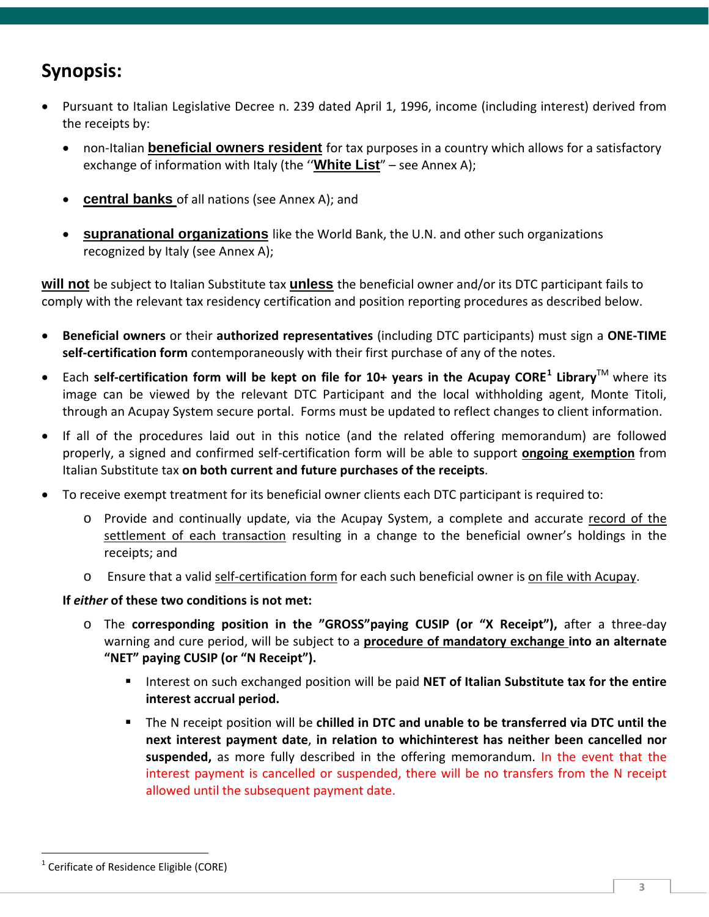## **Synopsis:**

- Pursuant to Italian Legislative Decree n. 239 dated April 1, 1996, income (including interest) derived from the receipts by:
	- non-Italian **beneficial owners resident** for tax purposes in a country which allows for a satisfactory exchange of information with Italy (the ''**White List**" – see Annex A);
	- **central banks** of all nations (see Annex A); and
	- **supranational organizations** like the World Bank, the U.N. and other such organizations recognized by Italy (see Annex A);

**will not** be subject to Italian Substitute tax **unless** the beneficial owner and/or its DTC participant fails to comply with the relevant tax residency certification and position reporting procedures as described below.

- **Beneficial owners** or their **authorized representatives** (including DTC participants) must sign a **ONE-TIME self-certification form** contemporaneously with their first purchase of any of the notes.
- Each **self-certification form will be kept on file for 10+ years in the Acupay CORE[1](#page-2-0) Library**TM where its image can be viewed by the relevant DTC Participant and the local withholding agent, Monte Titoli, through an Acupay System secure portal. Forms must be updated to reflect changes to client information.
- If all of the procedures laid out in this notice (and the related offering memorandum) are followed properly, a signed and confirmed self-certification form will be able to support **ongoing exemption** from Italian Substitute tax **on both current and future purchases of the receipts**.
- To receive exempt treatment for its beneficial owner clients each DTC participant is required to:
	- o Provide and continually update, via the Acupay System, a complete and accurate record of the settlement of each transaction resulting in a change to the beneficial owner's holdings in the receipts; and
	- o Ensure that a valid self-certification form for each such beneficial owner is on file with Acupay.

#### **If** *either* **of these two conditions is not met:**

- o The **corresponding position in the "GROSS"paying CUSIP (or "X Receipt"),** after a three-day warning and cure period, will be subject to a **procedure of mandatory exchange into an alternate "NET" paying CUSIP (or "N Receipt").**
	- Interest on such exchanged position will be paid **NET of Italian Substitute tax for the entire interest accrual period.**
	- The N receipt position will be **chilled in DTC and unable to be transferred via DTC until the next interest payment date**, **in relation to whichinterest has neither been cancelled nor suspended,** as more fully described in the offering memorandum. In the event that the interest payment is cancelled or suspended, there will be no transfers from the N receipt allowed until the subsequent payment date.

<span id="page-2-0"></span> $\overline{a}$  $1$  Cerificate of Residence Eligible (CORE)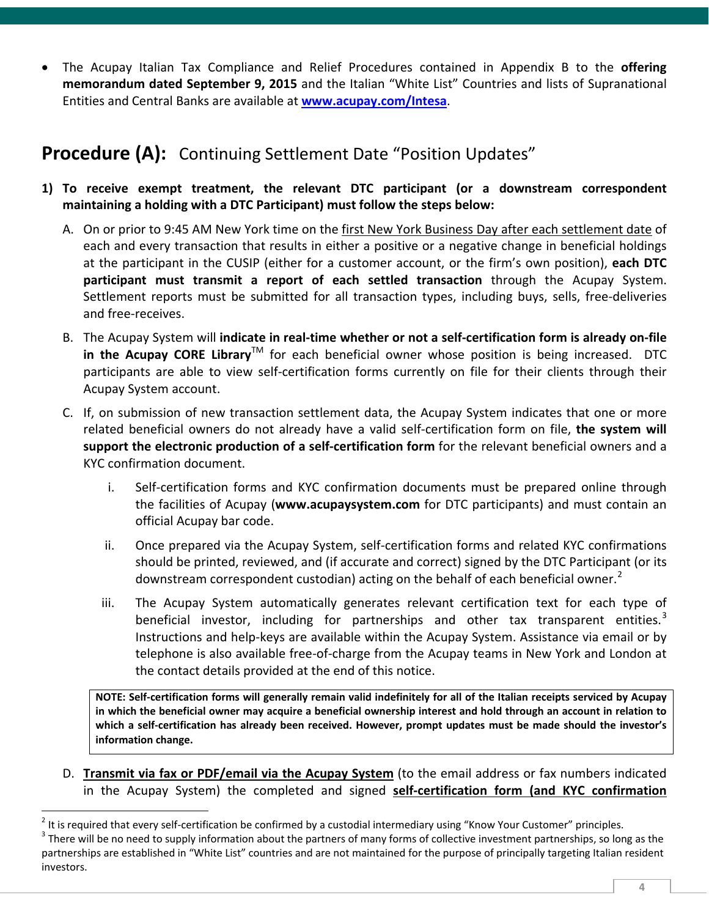• The Acupay Italian Tax Compliance and Relief Procedures contained in Appendix B to the **offering memorandum dated September 9, 2015** and the Italian "White List" Countries and lists of Supranational Entities and Central Banks are available at **[www.acupay.com/Intesa](http://www.acupay.com/Intesa)**.

## **Procedure (A):** Continuing Settlement Date "Position Updates"

- **1) To receive exempt treatment, the relevant DTC participant (or a downstream correspondent maintaining a holding with a DTC Participant) must follow the steps below:**
	- A. On or prior to 9:45 AM New York time on the first New York Business Day after each settlement date of each and every transaction that results in either a positive or a negative change in beneficial holdings at the participant in the CUSIP (either for a customer account, or the firm's own position), **each DTC participant must transmit a report of each settled transaction** through the Acupay System. Settlement reports must be submitted for all transaction types, including buys, sells, free-deliveries and free-receives.
	- B. The Acupay System will **indicate in real-time whether or not a self-certification form is already on-file in the Acupay CORE Library**TM for each beneficial owner whose position is being increased. DTC participants are able to view self-certification forms currently on file for their clients through their Acupay System account.
	- C. If, on submission of new transaction settlement data, the Acupay System indicates that one or more related beneficial owners do not already have a valid self-certification form on file, **the system will support the electronic production of a self-certification form** for the relevant beneficial owners and a KYC confirmation document.
		- i. Self-certification forms and KYC confirmation documents must be prepared online through the facilities of Acupay (**www.acupaysystem.com** for DTC participants) and must contain an official Acupay bar code.
		- ii. Once prepared via the Acupay System, self-certification forms and related KYC confirmations should be printed, reviewed, and (if accurate and correct) signed by the DTC Participant (or its downstream correspondent custodian) acting on the behalf of each beneficial owner.<sup>[2](#page-3-0)</sup>
		- iii. The Acupay System automatically generates relevant certification text for each type of beneficial investor, including for partnerships and other tax transparent entities.<sup>[3](#page-3-1)</sup> Instructions and help-keys are available within the Acupay System. Assistance via email or by telephone is also available free-of-charge from the Acupay teams in New York and London at the contact details provided at the end of this notice.

**NOTE: Self-certification forms will generally remain valid indefinitely for all of the Italian receipts serviced by Acupay in which the beneficial owner may acquire a beneficial ownership interest and hold through an account in relation to which a self-certification has already been received. However, prompt updates must be made should the investor's information change.**

D. **Transmit via fax or PDF/email via the Acupay System** (to the email address or fax numbers indicated in the Acupay System) the completed and signed **self-certification form (and KYC confirmation** 

 $\overline{a}$ 

<span id="page-3-0"></span><sup>&</sup>lt;sup>2</sup> It is required that every self-certification be confirmed by a custodial intermediary using "Know Your Customer" principles.<br><sup>3</sup> There will be no need to supply information about the partners of many forms of collecti

<span id="page-3-1"></span>partnerships are established in "White List" countries and are not maintained for the purpose of principally targeting Italian resident investors.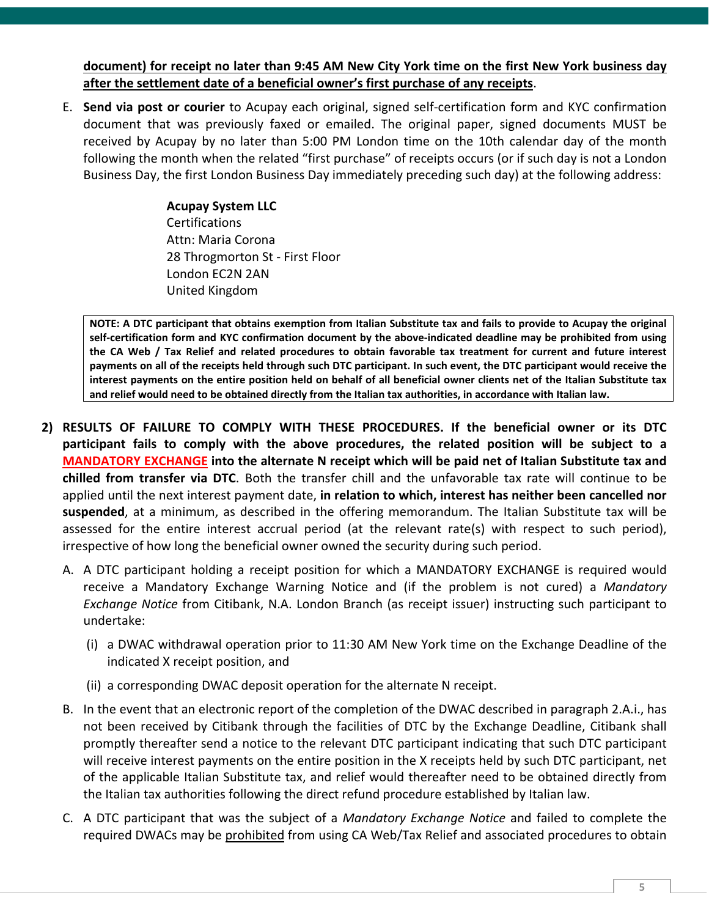**document) for receipt no later than 9:45 AM New City York time on the first New York business day after the settlement date of a beneficial owner's first purchase of any receipts**.

E. **Send via post or courier** to Acupay each original, signed self-certification form and KYC confirmation document that was previously faxed or emailed. The original paper, signed documents MUST be received by Acupay by no later than 5:00 PM London time on the 10th calendar day of the month following the month when the related "first purchase" of receipts occurs (or if such day is not a London Business Day, the first London Business Day immediately preceding such day) at the following address:

> **Acupay System LLC Certifications** Attn: Maria Corona 28 Throgmorton St - First Floor London EC2N 2AN United Kingdom

**NOTE: A DTC participant that obtains exemption from Italian Substitute tax and fails to provide to Acupay the original self-certification form and KYC confirmation document by the above-indicated deadline may be prohibited from using the CA Web / Tax Relief and related procedures to obtain favorable tax treatment for current and future interest payments on all of the receipts held through such DTC participant. In such event, the DTC participant would receive the interest payments on the entire position held on behalf of all beneficial owner clients net of the Italian Substitute tax and relief would need to be obtained directly from the Italian tax authorities, in accordance with Italian law.**

- **2) RESULTS OF FAILURE TO COMPLY WITH THESE PROCEDURES. If the beneficial owner or its DTC participant fails to comply with the above procedures, the related position will be subject to a MANDATORY EXCHANGE into the alternate N receipt which will be paid net of Italian Substitute tax and chilled from transfer via DTC**. Both the transfer chill and the unfavorable tax rate will continue to be applied until the next interest payment date, **in relation to which, interest has neither been cancelled nor suspended**, at a minimum, as described in the offering memorandum. The Italian Substitute tax will be assessed for the entire interest accrual period (at the relevant rate(s) with respect to such period), irrespective of how long the beneficial owner owned the security during such period.
	- A. A DTC participant holding a receipt position for which a MANDATORY EXCHANGE is required would receive a Mandatory Exchange Warning Notice and (if the problem is not cured) a *Mandatory Exchange Notice* from Citibank, N.A. London Branch (as receipt issuer) instructing such participant to undertake:
		- (i) a DWAC withdrawal operation prior to 11:30 AM New York time on the Exchange Deadline of the indicated X receipt position, and
		- (ii) a corresponding DWAC deposit operation for the alternate N receipt.
	- B. In the event that an electronic report of the completion of the DWAC described in paragraph 2.A.i., has not been received by Citibank through the facilities of DTC by the Exchange Deadline, Citibank shall promptly thereafter send a notice to the relevant DTC participant indicating that such DTC participant will receive interest payments on the entire position in the X receipts held by such DTC participant, net of the applicable Italian Substitute tax, and relief would thereafter need to be obtained directly from the Italian tax authorities following the direct refund procedure established by Italian law.
	- C. A DTC participant that was the subject of a *Mandatory Exchange Notice* and failed to complete the required DWACs may be prohibited from using CA Web/Tax Relief and associated procedures to obtain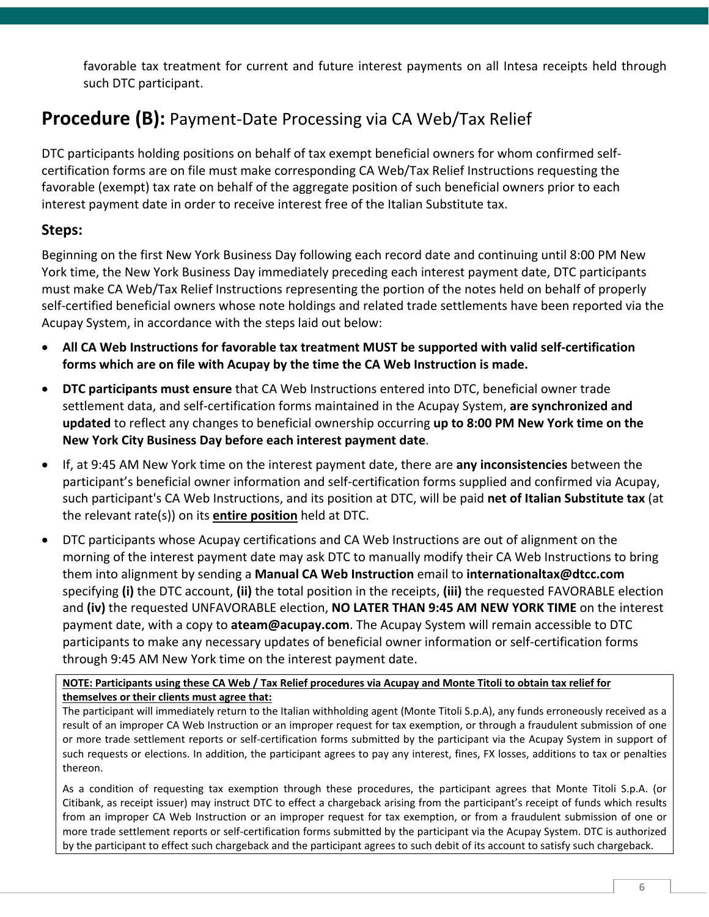favorable tax treatment for current and future interest payments on all Intesa receipts held through such DTC participant.

## **Procedure (B):** Payment-Date Processing via CA Web/Tax Relief

DTC participants holding positions on behalf of tax exempt beneficial owners for whom confirmed selfcertification forms are on file must make corresponding CA Web/Tax Relief Instructions requesting the favorable (exempt) tax rate on behalf of the aggregate position of such beneficial owners prior to each interest payment date in order to receive interest free of the Italian Substitute tax.

#### **Steps:**

Beginning on the first New York Business Day following each record date and continuing until 8:00 PM New York time, the New York Business Day immediately preceding each interest payment date, DTC participants must make CA Web/Tax Relief Instructions representing the portion of the notes held on behalf of properly self-certified beneficial owners whose note holdings and related trade settlements have been reported via the Acupay System, in accordance with the steps laid out below:

- **All CA Web Instructions for favorable tax treatment MUST be supported with valid self-certification forms which are on file with Acupay by the time the CA Web Instruction is made.**
- **DTC participants must ensure** that CA Web Instructions entered into DTC, beneficial owner trade settlement data, and self-certification forms maintained in the Acupay System, **are synchronized and updated** to reflect any changes to beneficial ownership occurring **up to 8:00 PM New York time on the New York City Business Day before each interest payment date**.
- If, at 9:45 AM New York time on the interest payment date, there are **any inconsistencies** between the participant's beneficial owner information and self-certification forms supplied and confirmed via Acupay, such participant's CA Web Instructions, and its position at DTC, will be paid **net of Italian Substitute tax** (at the relevant rate(s)) on its **entire position** held at DTC.
- DTC participants whose Acupay certifications and CA Web Instructions are out of alignment on the morning of the interest payment date may ask DTC to manually modify their CA Web Instructions to bring them into alignment by sending a **Manual CA Web Instruction** email to **internationaltax@dtcc.com** specifying **(i)** the DTC account, **(ii)** the total position in the receipts, **(iii)** the requested FAVORABLE election and **(iv)** the requested UNFAVORABLE election, **NO LATER THAN 9:45 AM NEW YORK TIME** on the interest payment date, with a copy to **ateam@acupay.com**. The Acupay System will remain accessible to DTC participants to make any necessary updates of beneficial owner information or self-certification forms through 9:45 AM New York time on the interest payment date.

**NOTE: Participants using these CA Web / Tax Relief procedures via Acupay and Monte Titoli to obtain tax relief for themselves or their clients must agree that:**

The participant will immediately return to the Italian withholding agent (Monte Titoli S.p.A), any funds erroneously received as a result of an improper CA Web Instruction or an improper request for tax exemption, or through a fraudulent submission of one or more trade settlement reports or self-certification forms submitted by the participant via the Acupay System in support of such requests or elections. In addition, the participant agrees to pay any interest, fines, FX losses, additions to tax or penalties thereon.

As a condition of requesting tax exemption through these procedures, the participant agrees that Monte Titoli S.p.A. (or Citibank, as receipt issuer) may instruct DTC to effect a chargeback arising from the participant's receipt of funds which results from an improper CA Web Instruction or an improper request for tax exemption, or from a fraudulent submission of one or more trade settlement reports or self-certification forms submitted by the participant via the Acupay System. DTC is authorized by the participant to effect such chargeback and the participant agrees to such debit of its account to satisfy such chargeback.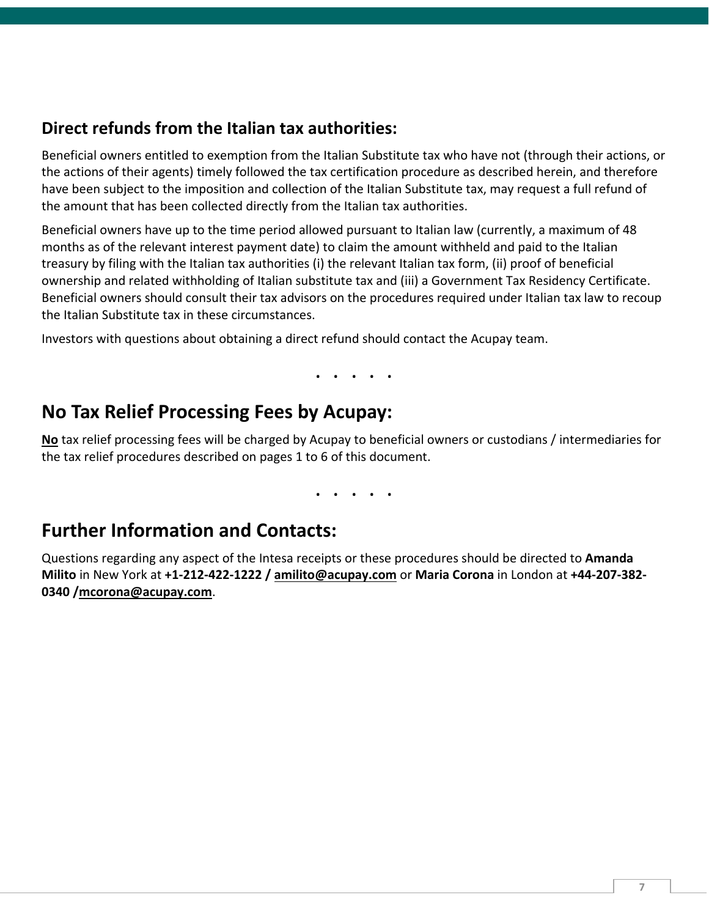### **Direct refunds from the Italian tax authorities:**

Beneficial owners entitled to exemption from the Italian Substitute tax who have not (through their actions, or the actions of their agents) timely followed the tax certification procedure as described herein, and therefore have been subject to the imposition and collection of the Italian Substitute tax, may request a full refund of the amount that has been collected directly from the Italian tax authorities.

Beneficial owners have up to the time period allowed pursuant to Italian law (currently, a maximum of 48 months as of the relevant interest payment date) to claim the amount withheld and paid to the Italian treasury by filing with the Italian tax authorities (i) the relevant Italian tax form, (ii) proof of beneficial ownership and related withholding of Italian substitute tax and (iii) a Government Tax Residency Certificate. Beneficial owners should consult their tax advisors on the procedures required under Italian tax law to recoup the Italian Substitute tax in these circumstances.

Investors with questions about obtaining a direct refund should contact the Acupay team.

. . . . .

### **No Tax Relief Processing Fees by Acupay:**

**No** tax relief processing fees will be charged by Acupay to beneficial owners or custodians / intermediaries for the tax relief procedures described on pages 1 to 6 of this document.

. . . . .

### **Further Information and Contacts:**

Questions regarding any aspect of the Intesa receipts or these procedures should be directed to **Amanda Milito** in New York at **+1-212-422-1222 / amilito@acupay.com** or **Maria Corona** in London at **+44-207-382- 0340 /mcorona@acupay.com**.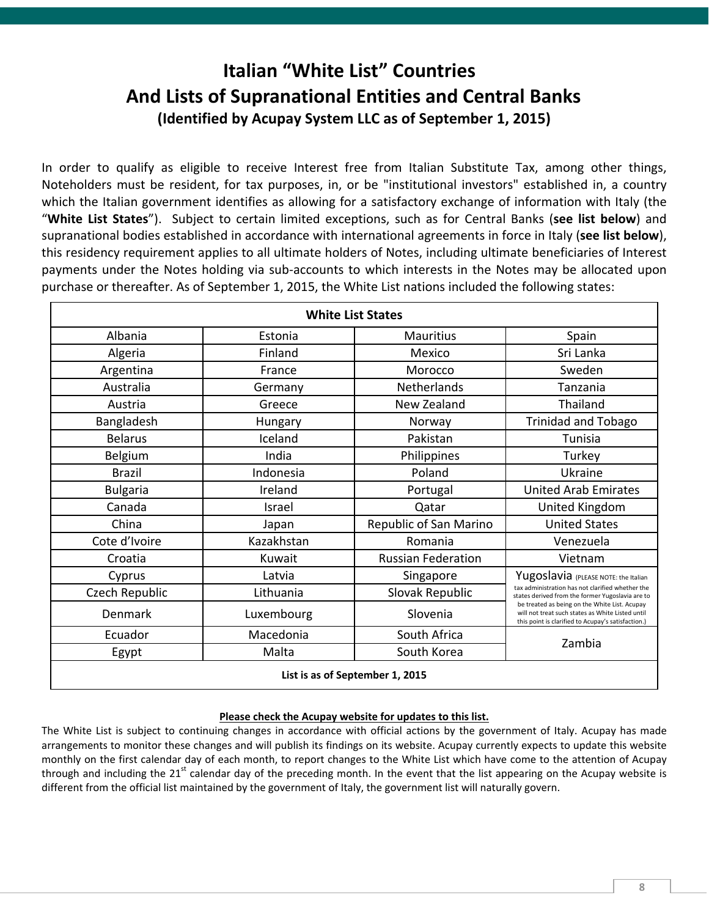## **Italian "White List" Countries And Lists of Supranational Entities and Central Banks (Identified by Acupay System LLC as of September 1, 2015)**

In order to qualify as eligible to receive Interest free from Italian Substitute Tax, among other things, Noteholders must be resident, for tax purposes, in, or be "institutional investors" established in, a country which the Italian government identifies as allowing for a satisfactory exchange of information with Italy (the "**White List States**"). Subject to certain limited exceptions, such as for Central Banks (**see list below**) and supranational bodies established in accordance with international agreements in force in Italy (**see list below**), this residency requirement applies to all ultimate holders of Notes, including ultimate beneficiaries of Interest payments under the Notes holding via sub-accounts to which interests in the Notes may be allocated upon purchase or thereafter. As of September 1, 2015, the White List nations included the following states:

| <b>White List States</b>        |            |                           |                                                                                                                                                         |
|---------------------------------|------------|---------------------------|---------------------------------------------------------------------------------------------------------------------------------------------------------|
| Albania                         | Estonia    | <b>Mauritius</b>          | Spain                                                                                                                                                   |
| Algeria                         | Finland    | Mexico                    | Sri Lanka                                                                                                                                               |
| Argentina                       | France     | Morocco                   | Sweden                                                                                                                                                  |
| Australia                       | Germany    | Netherlands               | Tanzania                                                                                                                                                |
| Austria                         | Greece     | New Zealand               | Thailand                                                                                                                                                |
| Bangladesh                      | Hungary    | Norway                    | <b>Trinidad and Tobago</b>                                                                                                                              |
| <b>Belarus</b>                  | Iceland    | Pakistan                  | Tunisia                                                                                                                                                 |
| Belgium                         | India      | Philippines               | Turkey                                                                                                                                                  |
| <b>Brazil</b>                   | Indonesia  | Poland                    | Ukraine                                                                                                                                                 |
| <b>Bulgaria</b>                 | Ireland    | Portugal                  | <b>United Arab Emirates</b>                                                                                                                             |
| Canada                          | Israel     | Qatar                     | United Kingdom                                                                                                                                          |
| China                           | Japan      | Republic of San Marino    | <b>United States</b>                                                                                                                                    |
| Cote d'Ivoire                   | Kazakhstan | Romania                   | Venezuela                                                                                                                                               |
| Croatia                         | Kuwait     | <b>Russian Federation</b> | Vietnam                                                                                                                                                 |
| Cyprus                          | Latvia     | Singapore                 | Yugoslavia (PLEASE NOTE: the Italian                                                                                                                    |
| Czech Republic                  | Lithuania  | Slovak Republic           | tax administration has not clarified whether the<br>states derived from the former Yugoslavia are to                                                    |
| Denmark                         | Luxembourg | Slovenia                  | be treated as being on the White List. Acupay<br>will not treat such states as White Listed until<br>this point is clarified to Acupay's satisfaction.) |
| Ecuador                         | Macedonia  | South Africa              | Zambia                                                                                                                                                  |
| Egypt                           | Malta      | South Korea               |                                                                                                                                                         |
| List is as of September 1, 2015 |            |                           |                                                                                                                                                         |

#### **Please check the Acupay website for updates to this list.**

The White List is subject to continuing changes in accordance with official actions by the government of Italy. Acupay has made arrangements to monitor these changes and will publish its findings on its website. Acupay currently expects to update this website monthly on the first calendar day of each month, to report changes to the White List which have come to the attention of Acupay through and including the  $21^{st}$  calendar day of the preceding month. In the event that the list appearing on the Acupay website is different from the official list maintained by the government of Italy, the government list will naturally govern.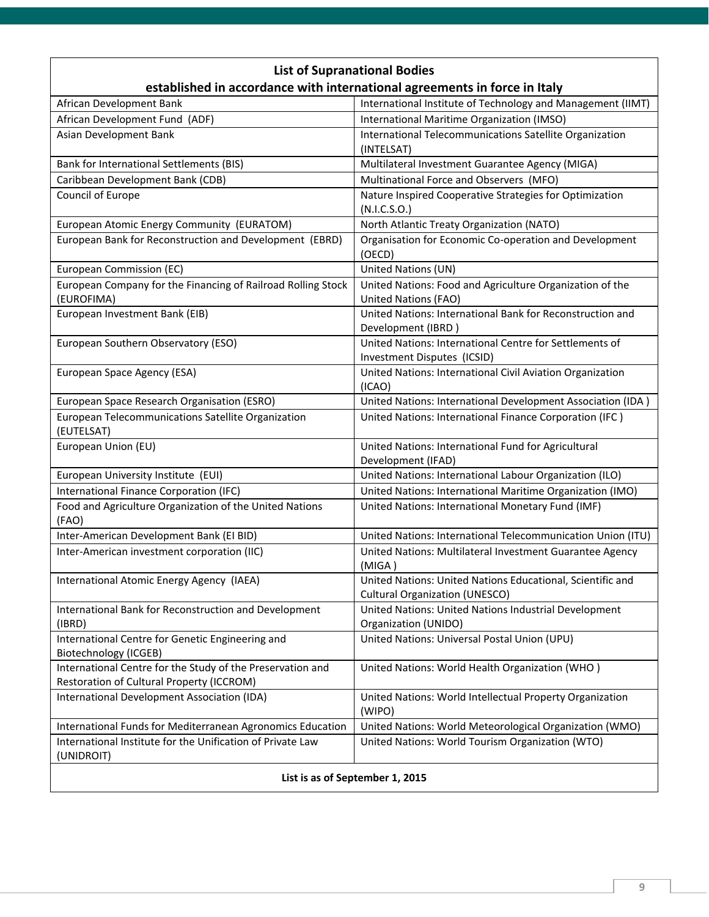| <b>List of Supranational Bodies</b>                                        |                                                                                                     |  |  |
|----------------------------------------------------------------------------|-----------------------------------------------------------------------------------------------------|--|--|
| established in accordance with international agreements in force in Italy  |                                                                                                     |  |  |
| African Development Bank                                                   | International Institute of Technology and Management (IIMT)                                         |  |  |
| African Development Fund (ADF)                                             | International Maritime Organization (IMSO)                                                          |  |  |
| Asian Development Bank                                                     | International Telecommunications Satellite Organization<br>(INTELSAT)                               |  |  |
| Bank for International Settlements (BIS)                                   | Multilateral Investment Guarantee Agency (MIGA)                                                     |  |  |
| Caribbean Development Bank (CDB)                                           | Multinational Force and Observers (MFO)                                                             |  |  |
| Council of Europe                                                          | Nature Inspired Cooperative Strategies for Optimization<br>(N.I.C.S.O.)                             |  |  |
| European Atomic Energy Community (EURATOM)                                 | North Atlantic Treaty Organization (NATO)                                                           |  |  |
| European Bank for Reconstruction and Development (EBRD)                    | Organisation for Economic Co-operation and Development<br>(OECD)                                    |  |  |
| European Commission (EC)                                                   | United Nations (UN)                                                                                 |  |  |
| European Company for the Financing of Railroad Rolling Stock<br>(EUROFIMA) | United Nations: Food and Agriculture Organization of the<br><b>United Nations (FAO)</b>             |  |  |
| European Investment Bank (EIB)                                             | United Nations: International Bank for Reconstruction and<br>Development (IBRD)                     |  |  |
| European Southern Observatory (ESO)                                        | United Nations: International Centre for Settlements of<br>Investment Disputes (ICSID)              |  |  |
| European Space Agency (ESA)                                                | United Nations: International Civil Aviation Organization<br>(ICAO)                                 |  |  |
| European Space Research Organisation (ESRO)                                | United Nations: International Development Association (IDA)                                         |  |  |
| European Telecommunications Satellite Organization<br>(EUTELSAT)           | United Nations: International Finance Corporation (IFC)                                             |  |  |
| European Union (EU)                                                        | United Nations: International Fund for Agricultural<br>Development (IFAD)                           |  |  |
| European University Institute (EUI)                                        | United Nations: International Labour Organization (ILO)                                             |  |  |
| International Finance Corporation (IFC)                                    | United Nations: International Maritime Organization (IMO)                                           |  |  |
| Food and Agriculture Organization of the United Nations<br>(FAO)           | United Nations: International Monetary Fund (IMF)                                                   |  |  |
| Inter-American Development Bank (EI BID)                                   | United Nations: International Telecommunication Union (ITU)                                         |  |  |
| Inter-American investment corporation (IIC)                                | United Nations: Multilateral Investment Guarantee Agency<br>(MIGA)                                  |  |  |
| International Atomic Energy Agency (IAEA)                                  | United Nations: United Nations Educational, Scientific and<br><b>Cultural Organization (UNESCO)</b> |  |  |
| International Bank for Reconstruction and Development<br>(IBRD)            | United Nations: United Nations Industrial Development<br>Organization (UNIDO)                       |  |  |
| International Centre for Genetic Engineering and<br>Biotechnology (ICGEB)  | United Nations: Universal Postal Union (UPU)                                                        |  |  |
| International Centre for the Study of the Preservation and                 | United Nations: World Health Organization (WHO)                                                     |  |  |
| Restoration of Cultural Property (ICCROM)                                  |                                                                                                     |  |  |
| International Development Association (IDA)                                | United Nations: World Intellectual Property Organization<br>(WIPO)                                  |  |  |
| International Funds for Mediterranean Agronomics Education                 | United Nations: World Meteorological Organization (WMO)                                             |  |  |
| International Institute for the Unification of Private Law<br>(UNIDROIT)   | United Nations: World Tourism Organization (WTO)                                                    |  |  |
| List is as of September 1, 2015                                            |                                                                                                     |  |  |

l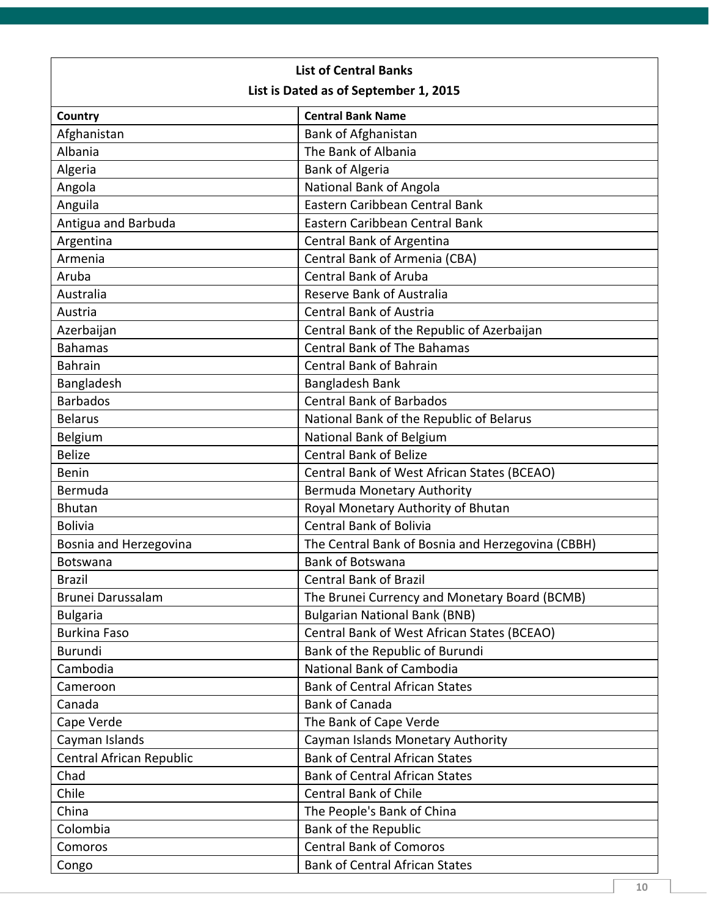| <b>List of Central Banks</b>          |                                                   |  |
|---------------------------------------|---------------------------------------------------|--|
| List is Dated as of September 1, 2015 |                                                   |  |
| Country                               | <b>Central Bank Name</b>                          |  |
| Afghanistan                           | Bank of Afghanistan                               |  |
| Albania                               | The Bank of Albania                               |  |
| Algeria                               | <b>Bank of Algeria</b>                            |  |
| Angola                                | National Bank of Angola                           |  |
| Anguila                               | Eastern Caribbean Central Bank                    |  |
| Antigua and Barbuda                   | Eastern Caribbean Central Bank                    |  |
| Argentina                             | Central Bank of Argentina                         |  |
| Armenia                               | Central Bank of Armenia (CBA)                     |  |
| Aruba                                 | <b>Central Bank of Aruba</b>                      |  |
| Australia                             | Reserve Bank of Australia                         |  |
| Austria                               | <b>Central Bank of Austria</b>                    |  |
| Azerbaijan                            | Central Bank of the Republic of Azerbaijan        |  |
| <b>Bahamas</b>                        | <b>Central Bank of The Bahamas</b>                |  |
| <b>Bahrain</b>                        | <b>Central Bank of Bahrain</b>                    |  |
| Bangladesh                            | <b>Bangladesh Bank</b>                            |  |
| <b>Barbados</b>                       | <b>Central Bank of Barbados</b>                   |  |
| <b>Belarus</b>                        | National Bank of the Republic of Belarus          |  |
| Belgium                               | National Bank of Belgium                          |  |
| <b>Belize</b>                         | <b>Central Bank of Belize</b>                     |  |
| <b>Benin</b>                          | Central Bank of West African States (BCEAO)       |  |
| Bermuda                               | Bermuda Monetary Authority                        |  |
| <b>Bhutan</b>                         | Royal Monetary Authority of Bhutan                |  |
| <b>Bolivia</b>                        | <b>Central Bank of Bolivia</b>                    |  |
| Bosnia and Herzegovina                | The Central Bank of Bosnia and Herzegovina (CBBH) |  |
| <b>Botswana</b>                       | <b>Bank of Botswana</b>                           |  |
| <b>Brazil</b>                         | <b>Central Bank of Brazil</b>                     |  |
| Brunei Darussalam                     | The Brunei Currency and Monetary Board (BCMB)     |  |
| <b>Bulgaria</b>                       | <b>Bulgarian National Bank (BNB)</b>              |  |
| <b>Burkina Faso</b>                   | Central Bank of West African States (BCEAO)       |  |
| <b>Burundi</b>                        | Bank of the Republic of Burundi                   |  |
| Cambodia                              | National Bank of Cambodia                         |  |
| Cameroon                              | <b>Bank of Central African States</b>             |  |
| Canada                                | <b>Bank of Canada</b>                             |  |
| Cape Verde                            | The Bank of Cape Verde                            |  |
| Cayman Islands                        | Cayman Islands Monetary Authority                 |  |
| Central African Republic              | <b>Bank of Central African States</b>             |  |
| Chad                                  | <b>Bank of Central African States</b>             |  |
| Chile                                 | <b>Central Bank of Chile</b>                      |  |
| China                                 | The People's Bank of China                        |  |
| Colombia                              | Bank of the Republic                              |  |
| Comoros                               | <b>Central Bank of Comoros</b>                    |  |
| Congo                                 | <b>Bank of Central African States</b>             |  |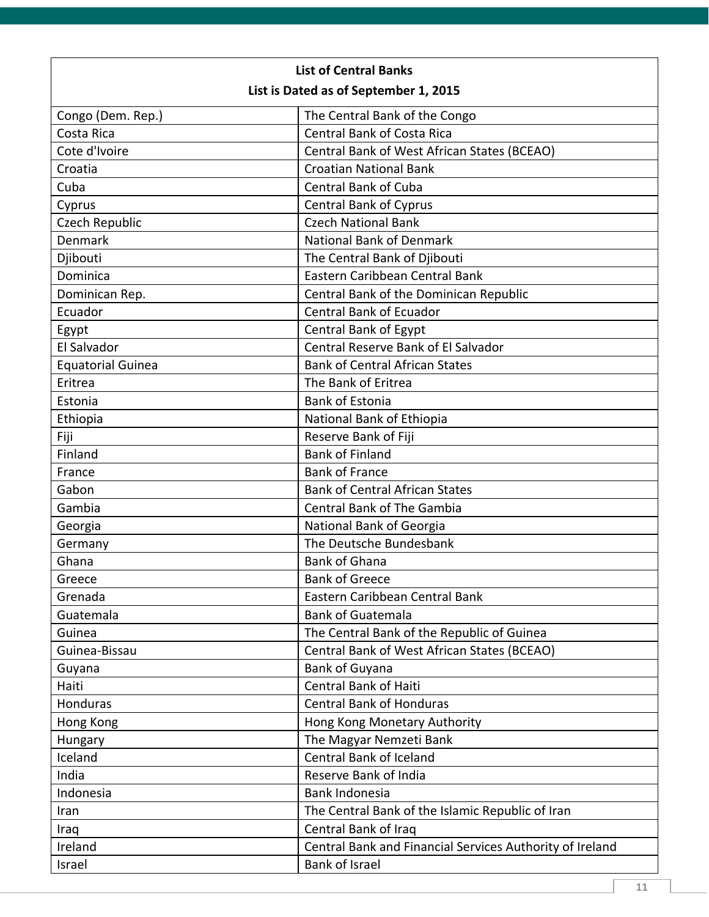| <b>List of Central Banks</b>          |                                                          |  |  |
|---------------------------------------|----------------------------------------------------------|--|--|
| List is Dated as of September 1, 2015 |                                                          |  |  |
| Congo (Dem. Rep.)                     | The Central Bank of the Congo                            |  |  |
| Costa Rica                            | <b>Central Bank of Costa Rica</b>                        |  |  |
| Cote d'Ivoire                         | Central Bank of West African States (BCEAO)              |  |  |
| Croatia                               | <b>Croatian National Bank</b>                            |  |  |
| Cuba                                  | <b>Central Bank of Cuba</b>                              |  |  |
| Cyprus                                | <b>Central Bank of Cyprus</b>                            |  |  |
| Czech Republic                        | <b>Czech National Bank</b>                               |  |  |
| <b>Denmark</b>                        | <b>National Bank of Denmark</b>                          |  |  |
| Djibouti                              | The Central Bank of Djibouti                             |  |  |
| Dominica                              | Eastern Caribbean Central Bank                           |  |  |
| Dominican Rep.                        | Central Bank of the Dominican Republic                   |  |  |
| Ecuador                               | <b>Central Bank of Ecuador</b>                           |  |  |
| Egypt                                 | Central Bank of Egypt                                    |  |  |
| El Salvador                           | Central Reserve Bank of El Salvador                      |  |  |
| <b>Equatorial Guinea</b>              | <b>Bank of Central African States</b>                    |  |  |
| Eritrea                               | The Bank of Eritrea                                      |  |  |
| Estonia                               | <b>Bank of Estonia</b>                                   |  |  |
| Ethiopia                              | National Bank of Ethiopia                                |  |  |
| Fiji                                  | Reserve Bank of Fiji                                     |  |  |
| Finland                               | <b>Bank of Finland</b>                                   |  |  |
| France                                | <b>Bank of France</b>                                    |  |  |
| Gabon                                 | <b>Bank of Central African States</b>                    |  |  |
| Gambia                                | <b>Central Bank of The Gambia</b>                        |  |  |
| Georgia                               | National Bank of Georgia                                 |  |  |
| Germany                               | The Deutsche Bundesbank                                  |  |  |
| Ghana                                 | <b>Bank of Ghana</b>                                     |  |  |
| Greece                                | <b>Bank of Greece</b>                                    |  |  |
| Grenada                               | Eastern Caribbean Central Bank                           |  |  |
| Guatemala                             | <b>Bank of Guatemala</b>                                 |  |  |
| Guinea                                | The Central Bank of the Republic of Guinea               |  |  |
| Guinea-Bissau                         | Central Bank of West African States (BCEAO)              |  |  |
| Guyana                                | <b>Bank of Guyana</b>                                    |  |  |
| Haiti                                 | <b>Central Bank of Haiti</b>                             |  |  |
| Honduras                              | <b>Central Bank of Honduras</b>                          |  |  |
| Hong Kong                             | Hong Kong Monetary Authority                             |  |  |
| Hungary                               | The Magyar Nemzeti Bank                                  |  |  |
| Iceland                               | Central Bank of Iceland                                  |  |  |
| India                                 | Reserve Bank of India                                    |  |  |
| Indonesia                             | Bank Indonesia                                           |  |  |
| Iran                                  | The Central Bank of the Islamic Republic of Iran         |  |  |
| Iraq                                  | Central Bank of Iraq                                     |  |  |
| Ireland                               | Central Bank and Financial Services Authority of Ireland |  |  |
| Israel                                | <b>Bank of Israel</b>                                    |  |  |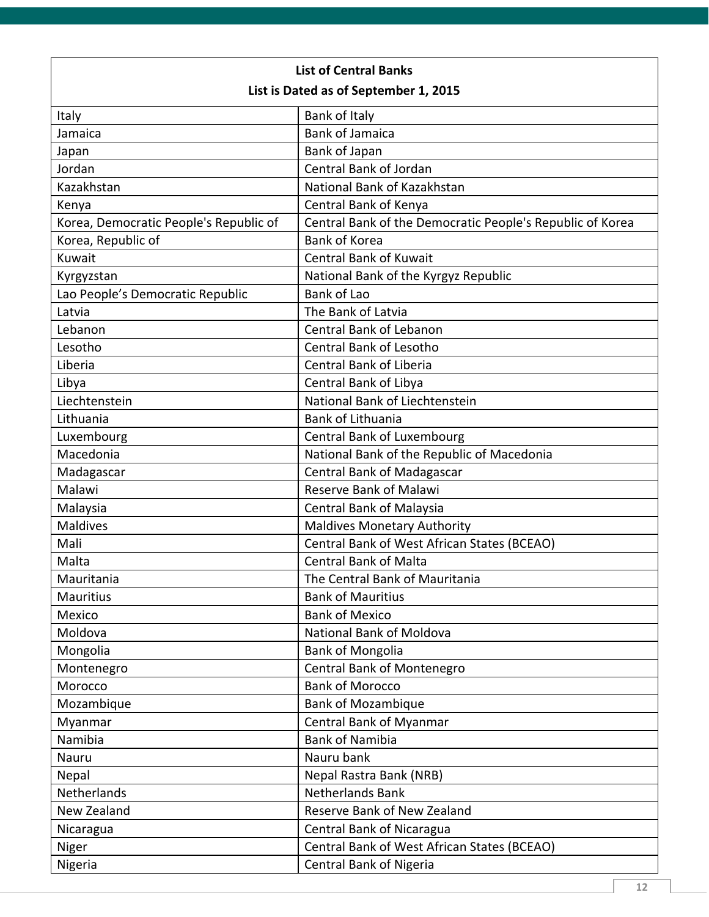| <b>List of Central Banks</b>           |                                                           |  |
|----------------------------------------|-----------------------------------------------------------|--|
| List is Dated as of September 1, 2015  |                                                           |  |
| Italy                                  | Bank of Italy                                             |  |
| Jamaica                                | <b>Bank of Jamaica</b>                                    |  |
| Japan                                  | Bank of Japan                                             |  |
| Jordan                                 | Central Bank of Jordan                                    |  |
| Kazakhstan                             | National Bank of Kazakhstan                               |  |
| Kenya                                  | Central Bank of Kenya                                     |  |
| Korea, Democratic People's Republic of | Central Bank of the Democratic People's Republic of Korea |  |
| Korea, Republic of                     | <b>Bank of Korea</b>                                      |  |
| Kuwait                                 | <b>Central Bank of Kuwait</b>                             |  |
| Kyrgyzstan                             | National Bank of the Kyrgyz Republic                      |  |
| Lao People's Democratic Republic       | <b>Bank of Lao</b>                                        |  |
| Latvia                                 | The Bank of Latvia                                        |  |
| Lebanon                                | <b>Central Bank of Lebanon</b>                            |  |
| Lesotho                                | Central Bank of Lesotho                                   |  |
| Liberia                                | Central Bank of Liberia                                   |  |
| Libya                                  | Central Bank of Libya                                     |  |
| Liechtenstein                          | National Bank of Liechtenstein                            |  |
| Lithuania                              | Bank of Lithuania                                         |  |
| Luxembourg                             | <b>Central Bank of Luxembourg</b>                         |  |
| Macedonia                              | National Bank of the Republic of Macedonia                |  |
| Madagascar                             | <b>Central Bank of Madagascar</b>                         |  |
| Malawi                                 | <b>Reserve Bank of Malawi</b>                             |  |
| Malaysia                               | Central Bank of Malaysia                                  |  |
| <b>Maldives</b>                        | <b>Maldives Monetary Authority</b>                        |  |
| Mali                                   | Central Bank of West African States (BCEAO)               |  |
| Malta                                  | <b>Central Bank of Malta</b>                              |  |
| Mauritania                             | The Central Bank of Mauritania                            |  |
| <b>Mauritius</b>                       | <b>Bank of Mauritius</b>                                  |  |
| Mexico                                 | <b>Bank of Mexico</b>                                     |  |
| Moldova                                | <b>National Bank of Moldova</b>                           |  |
| Mongolia                               | <b>Bank of Mongolia</b>                                   |  |
| Montenegro                             | Central Bank of Montenegro                                |  |
| Morocco                                | <b>Bank of Morocco</b>                                    |  |
| Mozambique                             | <b>Bank of Mozambique</b>                                 |  |
| Myanmar                                | Central Bank of Myanmar                                   |  |
| Namibia                                | <b>Bank of Namibia</b>                                    |  |
| Nauru                                  | Nauru bank                                                |  |
| Nepal                                  | Nepal Rastra Bank (NRB)                                   |  |
| Netherlands                            | Netherlands Bank                                          |  |
| New Zealand                            | Reserve Bank of New Zealand                               |  |
| Nicaragua                              | Central Bank of Nicaragua                                 |  |
| Niger                                  | Central Bank of West African States (BCEAO)               |  |
| Nigeria                                | Central Bank of Nigeria                                   |  |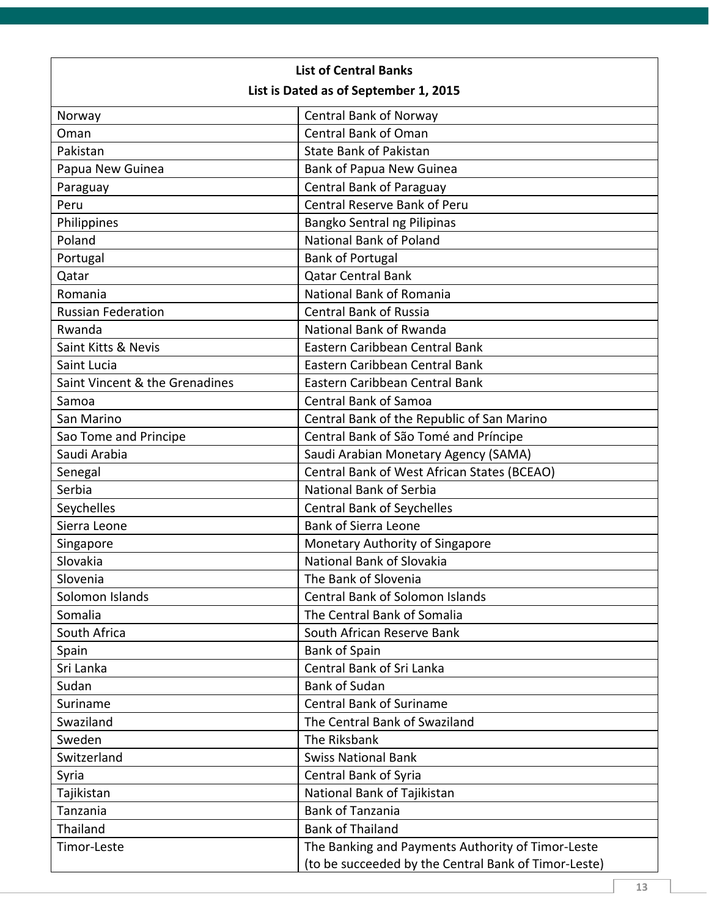| <b>List of Central Banks</b>          |                                                      |  |  |
|---------------------------------------|------------------------------------------------------|--|--|
| List is Dated as of September 1, 2015 |                                                      |  |  |
| Norway                                | <b>Central Bank of Norway</b>                        |  |  |
| Oman                                  | Central Bank of Oman                                 |  |  |
| Pakistan                              | <b>State Bank of Pakistan</b>                        |  |  |
| Papua New Guinea                      | Bank of Papua New Guinea                             |  |  |
| Paraguay                              | <b>Central Bank of Paraguay</b>                      |  |  |
| Peru                                  | Central Reserve Bank of Peru                         |  |  |
| Philippines                           | Bangko Sentral ng Pilipinas                          |  |  |
| Poland                                | National Bank of Poland                              |  |  |
| Portugal                              | <b>Bank of Portugal</b>                              |  |  |
| Qatar                                 | <b>Qatar Central Bank</b>                            |  |  |
| Romania                               | National Bank of Romania                             |  |  |
| <b>Russian Federation</b>             | <b>Central Bank of Russia</b>                        |  |  |
| Rwanda                                | National Bank of Rwanda                              |  |  |
| Saint Kitts & Nevis                   | Eastern Caribbean Central Bank                       |  |  |
| Saint Lucia                           | Eastern Caribbean Central Bank                       |  |  |
| Saint Vincent & the Grenadines        | Eastern Caribbean Central Bank                       |  |  |
| Samoa                                 | <b>Central Bank of Samoa</b>                         |  |  |
| San Marino                            | Central Bank of the Republic of San Marino           |  |  |
| Sao Tome and Principe                 | Central Bank of São Tomé and Príncipe                |  |  |
| Saudi Arabia                          | Saudi Arabian Monetary Agency (SAMA)                 |  |  |
| Senegal                               | Central Bank of West African States (BCEAO)          |  |  |
| Serbia                                | National Bank of Serbia                              |  |  |
| Seychelles                            | <b>Central Bank of Seychelles</b>                    |  |  |
| Sierra Leone                          | <b>Bank of Sierra Leone</b>                          |  |  |
| Singapore                             | Monetary Authority of Singapore                      |  |  |
| Slovakia                              | <b>National Bank of Slovakia</b>                     |  |  |
| Slovenia                              | The Bank of Slovenia                                 |  |  |
| Solomon Islands                       | <b>Central Bank of Solomon Islands</b>               |  |  |
| Somalia                               | The Central Bank of Somalia                          |  |  |
| South Africa                          | South African Reserve Bank                           |  |  |
| Spain                                 | <b>Bank of Spain</b>                                 |  |  |
| Sri Lanka                             | Central Bank of Sri Lanka                            |  |  |
| Sudan                                 | <b>Bank of Sudan</b>                                 |  |  |
| Suriname                              | <b>Central Bank of Suriname</b>                      |  |  |
| Swaziland                             | The Central Bank of Swaziland                        |  |  |
| Sweden                                | The Riksbank                                         |  |  |
| Switzerland                           | <b>Swiss National Bank</b>                           |  |  |
| Syria                                 | Central Bank of Syria                                |  |  |
| Tajikistan                            | National Bank of Tajikistan                          |  |  |
| Tanzania                              | <b>Bank of Tanzania</b>                              |  |  |
| Thailand                              | <b>Bank of Thailand</b>                              |  |  |
| Timor-Leste                           | The Banking and Payments Authority of Timor-Leste    |  |  |
|                                       | (to be succeeded by the Central Bank of Timor-Leste) |  |  |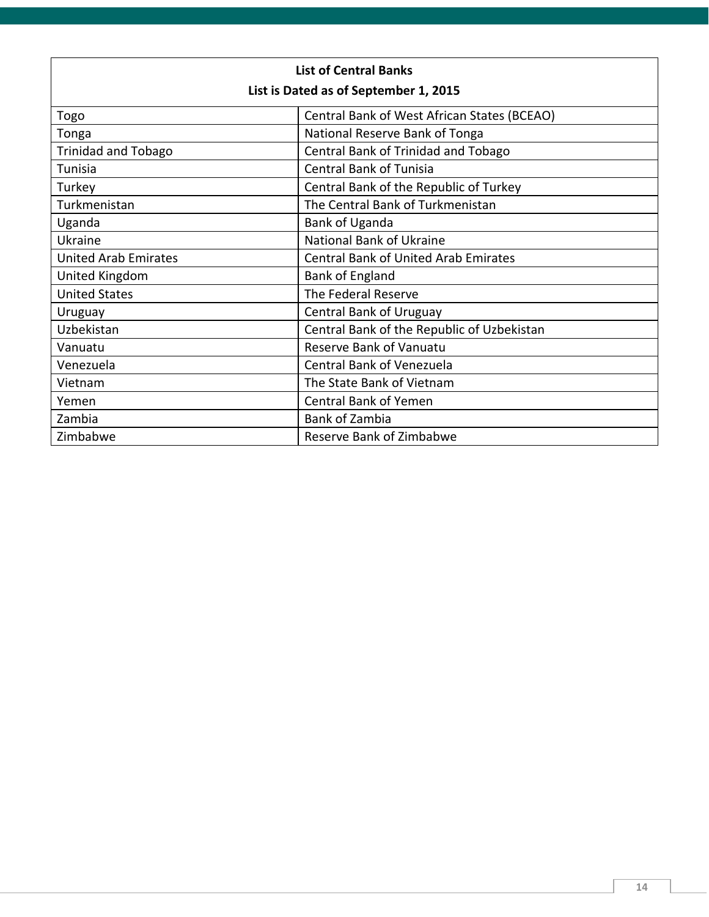| <b>List of Central Banks</b>          |                                             |  |  |
|---------------------------------------|---------------------------------------------|--|--|
| List is Dated as of September 1, 2015 |                                             |  |  |
| Togo                                  | Central Bank of West African States (BCEAO) |  |  |
| Tonga                                 | National Reserve Bank of Tonga              |  |  |
| <b>Trinidad and Tobago</b>            | Central Bank of Trinidad and Tobago         |  |  |
| Tunisia                               | <b>Central Bank of Tunisia</b>              |  |  |
| Turkey                                | Central Bank of the Republic of Turkey      |  |  |
| Turkmenistan                          | The Central Bank of Turkmenistan            |  |  |
| Uganda                                | Bank of Uganda                              |  |  |
| Ukraine                               | National Bank of Ukraine                    |  |  |
| <b>United Arab Emirates</b>           | <b>Central Bank of United Arab Emirates</b> |  |  |
| United Kingdom                        | <b>Bank of England</b>                      |  |  |
| <b>United States</b>                  | The Federal Reserve                         |  |  |
| Uruguay                               | <b>Central Bank of Uruguay</b>              |  |  |
| Uzbekistan                            | Central Bank of the Republic of Uzbekistan  |  |  |
| Vanuatu                               | Reserve Bank of Vanuatu                     |  |  |
| Venezuela                             | Central Bank of Venezuela                   |  |  |
| Vietnam                               | The State Bank of Vietnam                   |  |  |
| Yemen                                 | <b>Central Bank of Yemen</b>                |  |  |
| Zambia                                | <b>Bank of Zambia</b>                       |  |  |
| Zimbabwe                              | Reserve Bank of Zimbabwe                    |  |  |